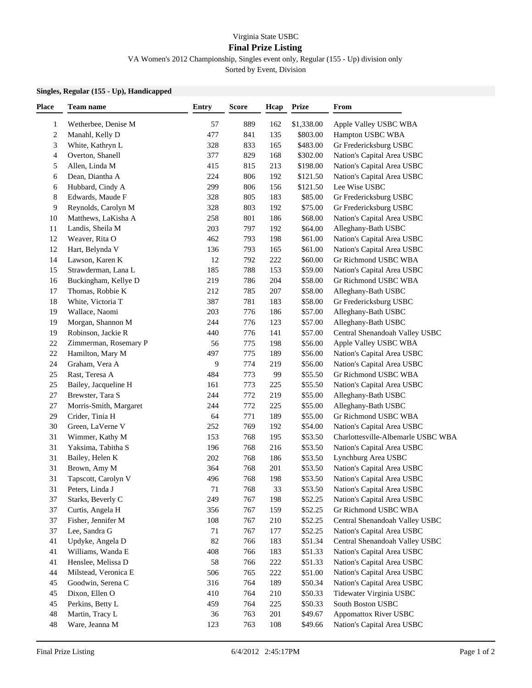## Virginia State USBC

## **Final Prize Listing**

VA Women's 2012 Championship, Singles event only, Regular (155 - Up) division only

Sorted by Event, Division

## **Singles, Regular (155 - Up), Handicapped**

| Place                   | Team name              | <b>Entry</b> | <b>Score</b> | Hcap | Prize      | From                               |
|-------------------------|------------------------|--------------|--------------|------|------------|------------------------------------|
| $\mathbf{1}$            | Wetherbee, Denise M    | 57           | 889          | 162  | \$1,338.00 | Apple Valley USBC WBA              |
| $\overline{\mathbf{c}}$ | Manahl, Kelly D        | 477          | 841          | 135  | \$803.00   | Hampton USBC WBA                   |
| 3                       | White, Kathryn L       | 328          | 833          | 165  | \$483.00   | Gr Fredericksburg USBC             |
| 4                       | Overton, Shanell       | 377          | 829          | 168  | \$302.00   | Nation's Capital Area USBC         |
| 5                       | Allen, Linda M         | 415          | 815          | 213  | \$198.00   | Nation's Capital Area USBC         |
| 6                       | Dean, Diantha A        | 224          | 806          | 192  | \$121.50   | Nation's Capital Area USBC         |
| 6                       | Hubbard, Cindy A       | 299          | 806          | 156  | \$121.50   | Lee Wise USBC                      |
| 8                       | Edwards, Maude F       | 328          | 805          | 183  | \$85.00    | Gr Fredericksburg USBC             |
| 9                       | Reynolds, Carolyn M    | 328          | 803          | 192  | \$75.00    | Gr Fredericksburg USBC             |
| 10                      | Matthews, LaKisha A    | 258          | 801          | 186  | \$68.00    | Nation's Capital Area USBC         |
| 11                      | Landis, Sheila M       | 203          | 797          | 192  | \$64.00    | Alleghany-Bath USBC                |
| 12                      | Weaver, Rita O         | 462          | 793          | 198  | \$61.00    | Nation's Capital Area USBC         |
| 12                      | Hart, Belynda V        | 136          | 793          | 165  | \$61.00    | Nation's Capital Area USBC         |
| 14                      | Lawson, Karen K        | 12           | 792          | 222  | \$60.00    | Gr Richmond USBC WBA               |
| 15                      | Strawderman, Lana L    | 185          | 788          | 153  |            |                                    |
|                         |                        |              |              |      | \$59.00    | Nation's Capital Area USBC         |
| 16                      | Buckingham, Kellye D   | 219          | 786          | 204  | \$58.00    | Gr Richmond USBC WBA               |
| 17                      | Thomas, Robbie K       | 212          | 785          | 207  | \$58.00    | Alleghany-Bath USBC                |
| 18                      | White, Victoria T      | 387          | 781          | 183  | \$58.00    | Gr Fredericksburg USBC             |
| 19                      | Wallace, Naomi         | 203          | 776          | 186  | \$57.00    | Alleghany-Bath USBC                |
| 19                      | Morgan, Shannon M      | 244          | 776          | 123  | \$57.00    | Alleghany-Bath USBC                |
| 19                      | Robinson, Jackie R     | 440          | 776          | 141  | \$57.00    | Central Shenandoah Valley USBC     |
| 22                      | Zimmerman, Rosemary P  | 56           | 775          | 198  | \$56.00    | Apple Valley USBC WBA              |
| 22                      | Hamilton, Mary M       | 497          | 775          | 189  | \$56.00    | Nation's Capital Area USBC         |
| 24                      | Graham, Vera A         | 9            | 774          | 219  | \$56.00    | Nation's Capital Area USBC         |
| 25                      | Rast, Teresa A         | 484          | 773          | 99   | \$55.50    | Gr Richmond USBC WBA               |
| 25                      | Bailey, Jacqueline H   | 161          | 773          | 225  | \$55.50    | Nation's Capital Area USBC         |
| 27                      | Brewster, Tara S       | 244          | 772          | 219  | \$55.00    | Alleghany-Bath USBC                |
| 27                      | Morris-Smith, Margaret | 244          | 772          | 225  | \$55.00    | Alleghany-Bath USBC                |
| 29                      | Crider, Tinia H        | 64           | 771          | 189  | \$55.00    | Gr Richmond USBC WBA               |
| 30                      | Green, LaVerne V       | 252          | 769          | 192  | \$54.00    | Nation's Capital Area USBC         |
| 31                      | Wimmer, Kathy M        | 153          | 768          | 195  | \$53.50    | Charlottesville-Albemarle USBC WBA |
| 31                      | Yaksima, Tabitha S     | 196          | 768          | 216  | \$53.50    | Nation's Capital Area USBC         |
| 31                      | Bailey, Helen K        | 202          | 768          | 186  | \$53.50    | Lynchburg Area USBC                |
| 31                      | Brown, Amy M           | 364          | 768          | 201  | \$53.50    | Nation's Capital Area USBC         |
| 31                      | Tapscott, Carolyn V    | 496          | 768          | 198  | \$53.50    | Nation's Capital Area USBC         |
| 31                      | Peters, Linda J        | 71           | 768          | 33   | \$53.50    | Nation's Capital Area USBC         |
| 37                      | Starks, Beverly C      | 249          | 767          | 198  | \$52.25    | Nation's Capital Area USBC         |
| 37                      | Curtis, Angela H       | 356          | 767          | 159  | \$52.25    | Gr Richmond USBC WBA               |
| 37                      | Fisher, Jennifer M     | 108          | 767          | 210  | \$52.25    | Central Shenandoah Valley USBC     |
| 37                      | Lee, Sandra G          | 71           | 767          | 177  | \$52.25    | Nation's Capital Area USBC         |
| 41                      | Updyke, Angela D       | 82           | 766          | 183  | \$51.34    | Central Shenandoah Valley USBC     |
| 41                      | Williams, Wanda E      | 408          | 766          | 183  | \$51.33    | Nation's Capital Area USBC         |
| 41                      | Henslee, Melissa D     | 58           | 766          | 222  | \$51.33    | Nation's Capital Area USBC         |
| 44                      | Milstead, Veronica E   | 506          | 765          | 222  | \$51.00    | Nation's Capital Area USBC         |
| 45                      | Goodwin, Serena C      | 316          | 764          | 189  | \$50.34    | Nation's Capital Area USBC         |
| 45                      | Dixon, Ellen O         | 410          | 764          | 210  | \$50.33    | Tidewater Virginia USBC            |
| 45                      | Perkins, Betty L       | 459          | 764          | 225  | \$50.33    | South Boston USBC                  |
| 48                      | Martin, Tracy L        | 36           | 763          | 201  | \$49.67    | <b>Appomattox River USBC</b>       |
| 48                      | Ware, Jeanna M         | 123          | 763          | 108  | \$49.66    | Nation's Capital Area USBC         |
|                         |                        |              |              |      |            |                                    |